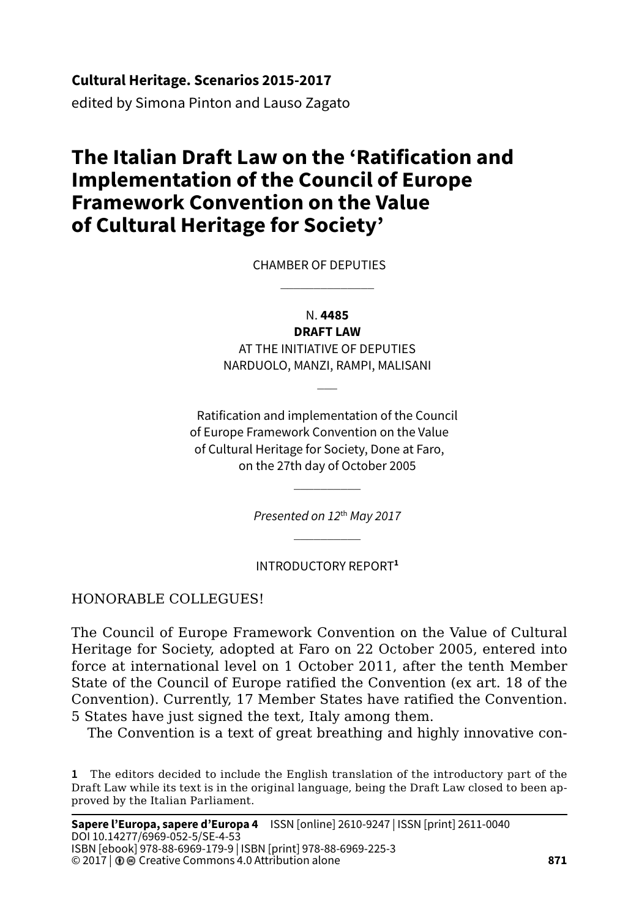**Cultural Heritage. Scenarios 2015-2017**

edited by Simona Pinton and Lauso Zagato

# **The Italian Draft Law on the 'Ratification and Implementation of the Council of Europe Framework Convention on the Value of Cultural Heritage for Society'**

CHAMBER OF DEPUTIES

N. **4485**

 $\mathcal{L}=\mathcal{L}^{\mathcal{L}}$ 

**DRAFT LAW** AT THE INITIATIVE OF DEPUTIES NARDUOLO, MANZI, RAMPI, MALISANI

 $\overline{\phantom{a}}$ 

Ratification and implementation of the Council of Europe Framework Convention on the Value of Cultural Heritage for Society, Done at Faro, on the 27th day of October 2005

> *Presented on 12*th *May 2017*  $\mathcal{L}=\mathcal{L}$

 $\mathcal{L}=\mathcal{L}$ 

INTRODUCTORY REPORT**<sup>1</sup>**

#### HONORABLE COLLEGUES!

The Council of Europe Framework Convention on the Value of Cultural Heritage for Society, adopted at Faro on 22 October 2005, entered into force at international level on 1 October 2011, after the tenth Member State of the Council of Europe ratified the Convention (ex art. 18 of the Convention). Currently, 17 Member States have ratified the Convention. 5 States have just signed the text, Italy among them.

The Convention is a text of great breathing and highly innovative con-

**1** The editors decided to include the English translation of the introductory part of the Draft Law while its text is in the original language, being the Draft Law closed to been approved by the Italian Parliament.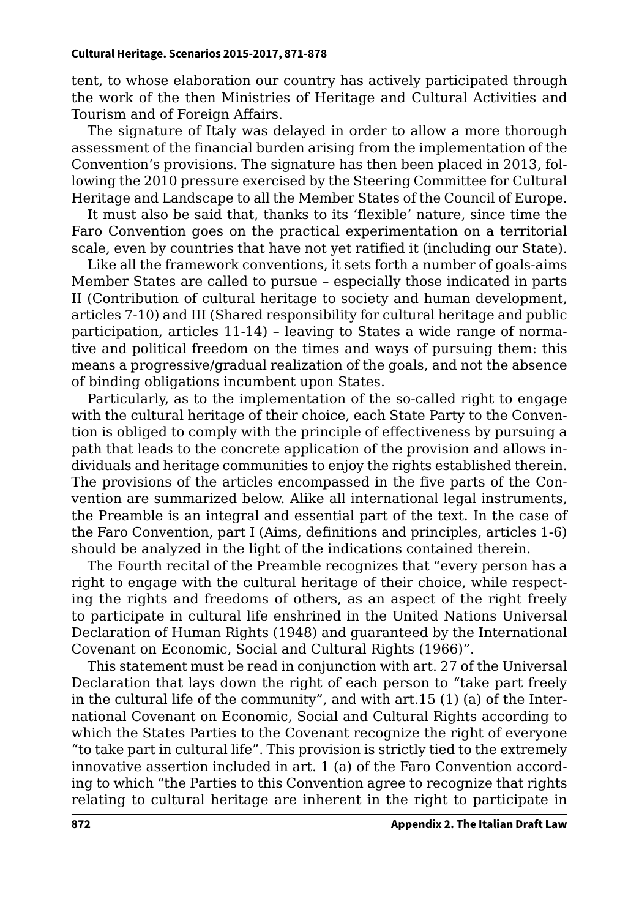tent, to whose elaboration our country has actively participated through the work of the then Ministries of Heritage and Cultural Activities and Tourism and of Foreign Affairs.

The signature of Italy was delayed in order to allow a more thorough assessment of the financial burden arising from the implementation of the Convention's provisions. The signature has then been placed in 2013, following the 2010 pressure exercised by the Steering Committee for Cultural Heritage and Landscape to all the Member States of the Council of Europe.

It must also be said that, thanks to its 'flexible' nature, since time the Faro Convention goes on the practical experimentation on a territorial scale, even by countries that have not yet ratified it (including our State).

Like all the framework conventions, it sets forth a number of goals-aims Member States are called to pursue – especially those indicated in parts II (Contribution of cultural heritage to society and human development, articles 7-10) and III (Shared responsibility for cultural heritage and public participation, articles 11-14) – leaving to States a wide range of normative and political freedom on the times and ways of pursuing them: this means a progressive/gradual realization of the goals, and not the absence of binding obligations incumbent upon States.

Particularly, as to the implementation of the so-called right to engage with the cultural heritage of their choice, each State Party to the Convention is obliged to comply with the principle of effectiveness by pursuing a path that leads to the concrete application of the provision and allows individuals and heritage communities to enjoy the rights established therein. The provisions of the articles encompassed in the five parts of the Convention are summarized below. Alike all international legal instruments, the Preamble is an integral and essential part of the text. In the case of the Faro Convention, part I (Aims, definitions and principles, articles 1-6) should be analyzed in the light of the indications contained therein.

The Fourth recital of the Preamble recognizes that "every person has a right to engage with the cultural heritage of their choice, while respecting the rights and freedoms of others, as an aspect of the right freely to participate in cultural life enshrined in the United Nations Universal Declaration of Human Rights (1948) and guaranteed by the International Covenant on Economic, Social and Cultural Rights (1966)".

This statement must be read in conjunction with art. 27 of the Universal Declaration that lays down the right of each person to "take part freely in the cultural life of the community", and with art.15 (1) (a) of the International Covenant on Economic, Social and Cultural Rights according to which the States Parties to the Covenant recognize the right of everyone "to take part in cultural life". This provision is strictly tied to the extremely innovative assertion included in art. 1 (a) of the Faro Convention according to which "the Parties to this Convention agree to recognize that rights relating to cultural heritage are inherent in the right to participate in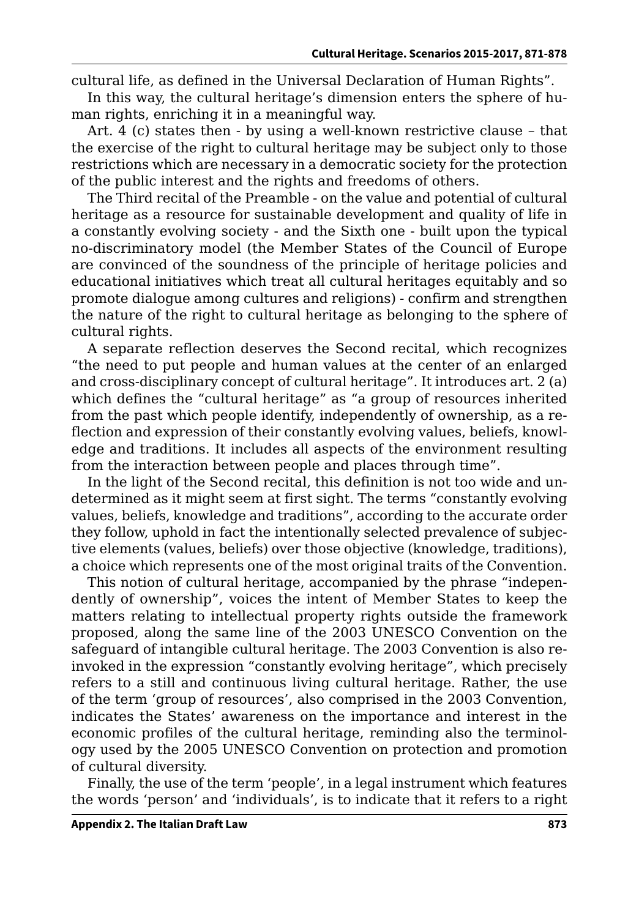cultural life, as defined in the Universal Declaration of Human Rights".

In this way, the cultural heritage's dimension enters the sphere of human rights, enriching it in a meaningful way.

Art. 4 (c) states then - by using a well-known restrictive clause – that the exercise of the right to cultural heritage may be subject only to those restrictions which are necessary in a democratic society for the protection of the public interest and the rights and freedoms of others.

The Third recital of the Preamble - on the value and potential of cultural heritage as a resource for sustainable development and quality of life in a constantly evolving society - and the Sixth one - built upon the typical no-discriminatory model (the Member States of the Council of Europe are convinced of the soundness of the principle of heritage policies and educational initiatives which treat all cultural heritages equitably and so promote dialogue among cultures and religions) - confirm and strengthen the nature of the right to cultural heritage as belonging to the sphere of cultural rights.

A separate reflection deserves the Second recital, which recognizes "the need to put people and human values at the center of an enlarged and cross-disciplinary concept of cultural heritage". It introduces art. 2 (a) which defines the "cultural heritage" as "a group of resources inherited from the past which people identify, independently of ownership, as a reflection and expression of their constantly evolving values, beliefs, knowledge and traditions. It includes all aspects of the environment resulting from the interaction between people and places through time".

In the light of the Second recital, this definition is not too wide and undetermined as it might seem at first sight. The terms "constantly evolving values, beliefs, knowledge and traditions", according to the accurate order they follow, uphold in fact the intentionally selected prevalence of subjective elements (values, beliefs) over those objective (knowledge, traditions), a choice which represents one of the most original traits of the Convention.

This notion of cultural heritage, accompanied by the phrase "independently of ownership", voices the intent of Member States to keep the matters relating to intellectual property rights outside the framework proposed, along the same line of the 2003 UNESCO Convention on the safeguard of intangible cultural heritage. The 2003 Convention is also reinvoked in the expression "constantly evolving heritage", which precisely refers to a still and continuous living cultural heritage. Rather, the use of the term 'group of resources', also comprised in the 2003 Convention, indicates the States' awareness on the importance and interest in the economic profiles of the cultural heritage, reminding also the terminology used by the 2005 UNESCO Convention on protection and promotion of cultural diversity.

Finally, the use of the term 'people', in a legal instrument which features the words 'person' and 'individuals', is to indicate that it refers to a right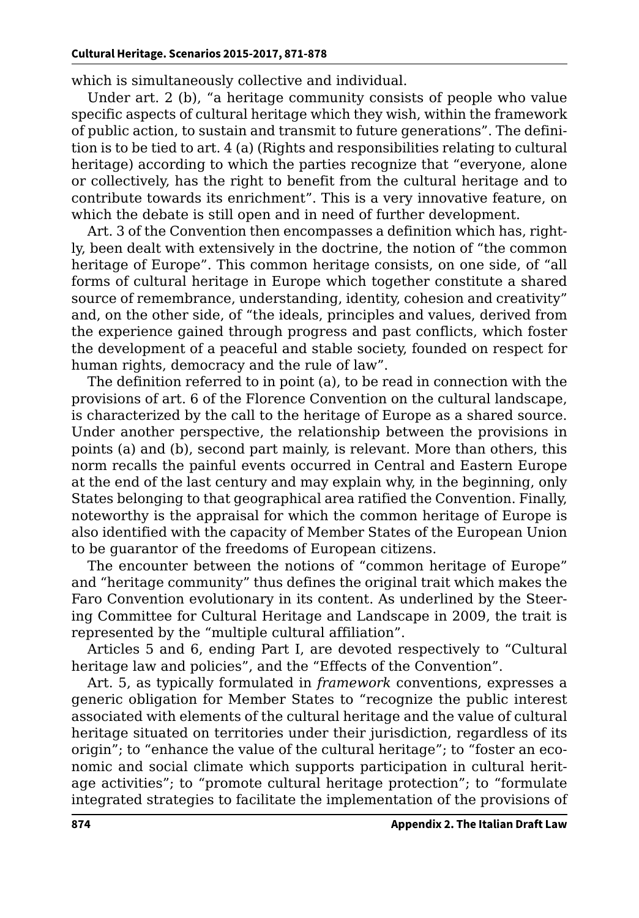which is simultaneously collective and individual.

Under art. 2 (b), "a heritage community consists of people who value specific aspects of cultural heritage which they wish, within the framework of public action, to sustain and transmit to future generations". The definition is to be tied to art. 4 (a) (Rights and responsibilities relating to cultural heritage) according to which the parties recognize that "everyone, alone or collectively, has the right to benefit from the cultural heritage and to contribute towards its enrichment". This is a very innovative feature, on which the debate is still open and in need of further development.

Art. 3 of the Convention then encompasses a definition which has, rightly, been dealt with extensively in the doctrine, the notion of "the common heritage of Europe". This common heritage consists, on one side, of "all forms of cultural heritage in Europe which together constitute a shared source of remembrance, understanding, identity, cohesion and creativity" and, on the other side, of "the ideals, principles and values, derived from the experience gained through progress and past conflicts, which foster the development of a peaceful and stable society, founded on respect for human rights, democracy and the rule of law".

The definition referred to in point (a), to be read in connection with the provisions of art. 6 of the Florence Convention on the cultural landscape, is characterized by the call to the heritage of Europe as a shared source. Under another perspective, the relationship between the provisions in points (a) and (b), second part mainly, is relevant. More than others, this norm recalls the painful events occurred in Central and Eastern Europe at the end of the last century and may explain why, in the beginning, only States belonging to that geographical area ratified the Convention. Finally, noteworthy is the appraisal for which the common heritage of Europe is also identified with the capacity of Member States of the European Union to be guarantor of the freedoms of European citizens.

The encounter between the notions of "common heritage of Europe" and "heritage community" thus defines the original trait which makes the Faro Convention evolutionary in its content. As underlined by the Steering Committee for Cultural Heritage and Landscape in 2009, the trait is represented by the "multiple cultural affiliation".

Articles 5 and 6, ending Part I, are devoted respectively to "Cultural heritage law and policies", and the "Effects of the Convention".

Art. 5, as typically formulated in *framework* conventions, expresses a generic obligation for Member States to "recognize the public interest associated with elements of the cultural heritage and the value of cultural heritage situated on territories under their jurisdiction, regardless of its origin"; to "enhance the value of the cultural heritage"; to "foster an economic and social climate which supports participation in cultural heritage activities"; to "promote cultural heritage protection"; to "formulate integrated strategies to facilitate the implementation of the provisions of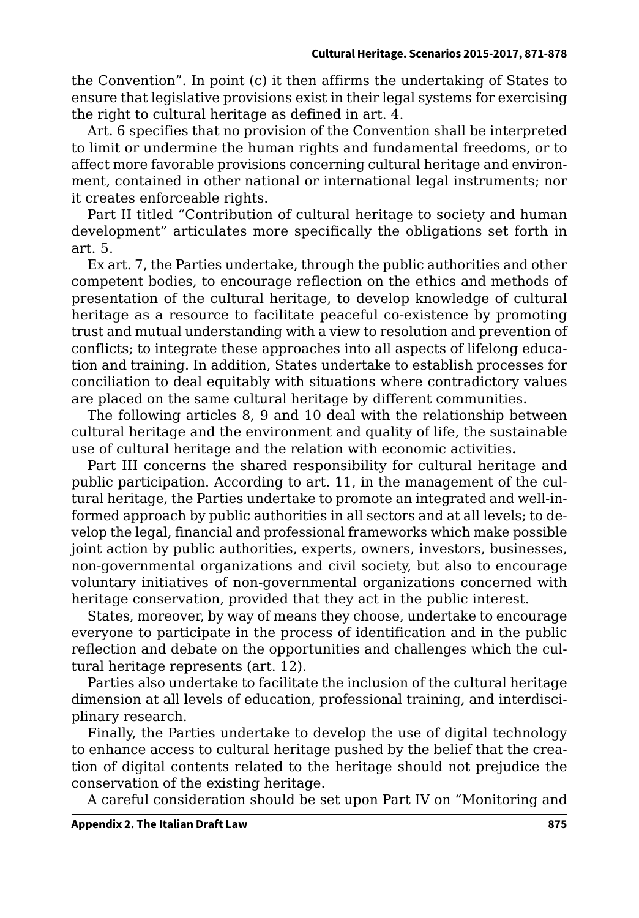the Convention". In point (c) it then affirms the undertaking of States to ensure that legislative provisions exist in their legal systems for exercising the right to cultural heritage as defined in art. 4.

Art. 6 specifies that no provision of the Convention shall be interpreted to limit or undermine the human rights and fundamental freedoms, or to affect more favorable provisions concerning cultural heritage and environment, contained in other national or international legal instruments; nor it creates enforceable rights.

Part II titled "Contribution of cultural heritage to society and human development" articulates more specifically the obligations set forth in art. 5.

Ex art. 7, the Parties undertake, through the public authorities and other competent bodies, to encourage reflection on the ethics and methods of presentation of the cultural heritage, to develop knowledge of cultural heritage as a resource to facilitate peaceful co-existence by promoting trust and mutual understanding with a view to resolution and prevention of conflicts; to integrate these approaches into all aspects of lifelong education and training. In addition, States undertake to establish processes for conciliation to deal equitably with situations where contradictory values are placed on the same cultural heritage by different communities.

The following articles 8, 9 and 10 deal with the relationship between cultural heritage and the environment and quality of life, the sustainable use of cultural heritage and the relation with economic activities**.**

Part III concerns the shared responsibility for cultural heritage and public participation. According to art. 11, in the management of the cultural heritage, the Parties undertake to promote an integrated and well-informed approach by public authorities in all sectors and at all levels; to develop the legal, financial and professional frameworks which make possible joint action by public authorities, experts, owners, investors, businesses, non-governmental organizations and civil society, but also to encourage voluntary initiatives of non-governmental organizations concerned with heritage conservation, provided that they act in the public interest.

States, moreover, by way of means they choose, undertake to encourage everyone to participate in the process of identification and in the public reflection and debate on the opportunities and challenges which the cultural heritage represents (art. 12).

Parties also undertake to facilitate the inclusion of the cultural heritage dimension at all levels of education, professional training, and interdisciplinary research.

Finally, the Parties undertake to develop the use of digital technology to enhance access to cultural heritage pushed by the belief that the creation of digital contents related to the heritage should not prejudice the conservation of the existing heritage.

A careful consideration should be set upon Part IV on "Monitoring and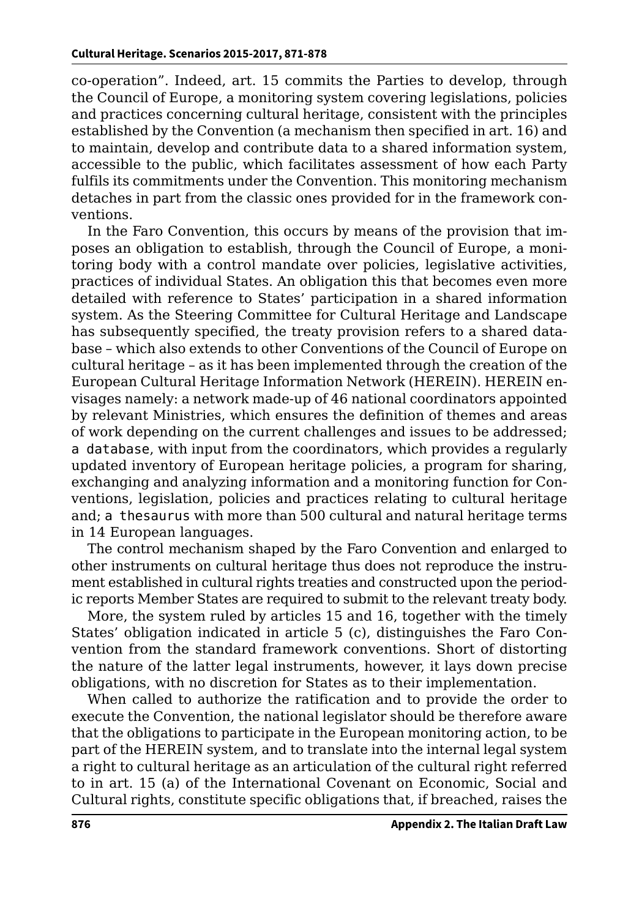co-operation". Indeed, art. 15 commits the Parties to develop, through the Council of Europe, a monitoring system covering legislations, policies and practices concerning cultural heritage, consistent with the principles established by the Convention (a mechanism then specified in art. 16) and to maintain, develop and contribute data to a shared information system, accessible to the public, which facilitates assessment of how each Party fulfils its commitments under the Convention. This monitoring mechanism detaches in part from the classic ones provided for in the framework conventions.

In the Faro Convention, this occurs by means of the provision that imposes an obligation to establish, through the Council of Europe, a monitoring body with a control mandate over policies, legislative activities, practices of individual States. An obligation this that becomes even more detailed with reference to States' participation in a shared information system. As the Steering Committee for Cultural Heritage and Landscape has subsequently specified, the treaty provision refers to a shared database – which also extends to other Conventions of the Council of Europe on cultural heritage – as it has been implemented through the creation of the European Cultural Heritage Information Network (HEREIN). HEREIN envisages namely: a network made-up of 46 national coordinators appointed by relevant Ministries, which ensures the definition of themes and areas of work depending on the current challenges and issues to be addressed; a database, with input from the coordinators, which provides a regularly updated inventory of European heritage policies, a program for sharing, exchanging and analyzing information and a monitoring function for Conventions, legislation, policies and practices relating to cultural heritage and; a thesaurus with more than 500 cultural and natural heritage terms in 14 European languages.

The control mechanism shaped by the Faro Convention and enlarged to other instruments on cultural heritage thus does not reproduce the instrument established in cultural rights treaties and constructed upon the periodic reports Member States are required to submit to the relevant treaty body.

More, the system ruled by articles 15 and 16, together with the timely States' obligation indicated in article 5 (c), distinguishes the Faro Convention from the standard framework conventions. Short of distorting the nature of the latter legal instruments, however, it lays down precise obligations, with no discretion for States as to their implementation.

When called to authorize the ratification and to provide the order to execute the Convention, the national legislator should be therefore aware that the obligations to participate in the European monitoring action, to be part of the HEREIN system, and to translate into the internal legal system a right to cultural heritage as an articulation of the cultural right referred to in art. 15 (a) of the International Covenant on Economic, Social and Cultural rights, constitute specific obligations that, if breached, raises the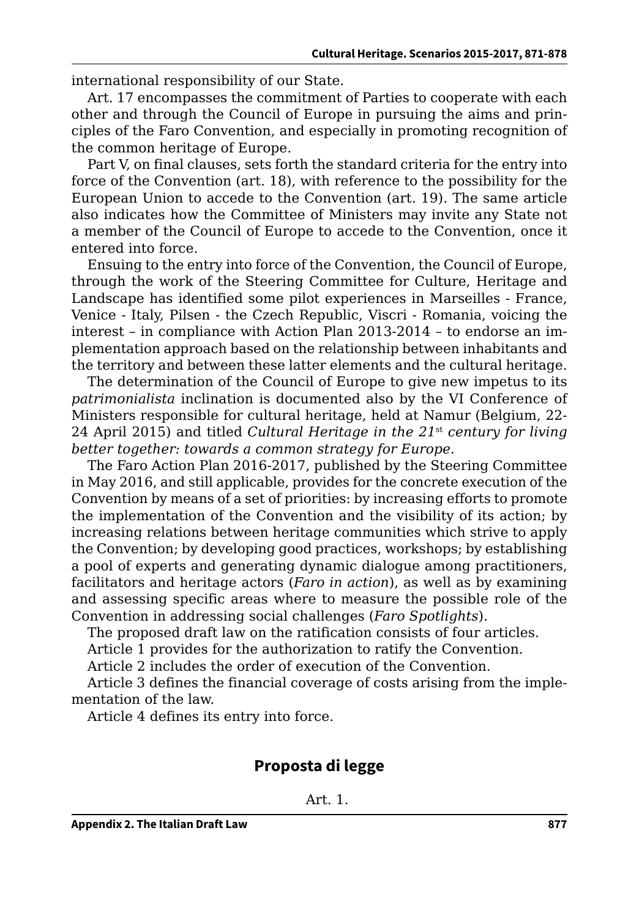international responsibility of our State.

Art. 17 encompasses the commitment of Parties to cooperate with each other and through the Council of Europe in pursuing the aims and principles of the Faro Convention, and especially in promoting recognition of the common heritage of Europe.

Part V, on final clauses, sets forth the standard criteria for the entry into force of the Convention (art. 18), with reference to the possibility for the European Union to accede to the Convention (art. 19). The same article also indicates how the Committee of Ministers may invite any State not a member of the Council of Europe to accede to the Convention, once it entered into force.

Ensuing to the entry into force of the Convention, the Council of Europe, through the work of the Steering Committee for Culture, Heritage and Landscape has identified some pilot experiences in Marseilles - France, Venice - Italy, Pilsen - the Czech Republic, Viscri - Romania, voicing the interest – in compliance with Action Plan 2013-2014 – to endorse an implementation approach based on the relationship between inhabitants and the territory and between these latter elements and the cultural heritage.

The determination of the Council of Europe to give new impetus to its *patrimonialista* inclination is documented also by the VI Conference of Ministers responsible for cultural heritage, held at Namur (Belgium, 22- 24 April 2015) and titled *Cultural Heritage in the 21*st *century for living better together: towards a common strategy for Europe.* 

The Faro Action Plan 2016-2017, published by the Steering Committee in May 2016, and still applicable, provides for the concrete execution of the Convention by means of a set of priorities: by increasing efforts to promote the implementation of the Convention and the visibility of its action; by increasing relations between heritage communities which strive to apply the Convention; by developing good practices, workshops; by establishing a pool of experts and generating dynamic dialogue among practitioners, facilitators and heritage actors (*Faro in action*), as well as by examining and assessing specific areas where to measure the possible role of the Convention in addressing social challenges (*Faro Spotlights*).

The proposed draft law on the ratification consists of four articles.

Article 1 provides for the authorization to ratify the Convention.

Article 2 includes the order of execution of the Convention.

Article 3 defines the financial coverage of costs arising from the implementation of the law.

Article 4 defines its entry into force.

## **Proposta di legge**

Art. 1.